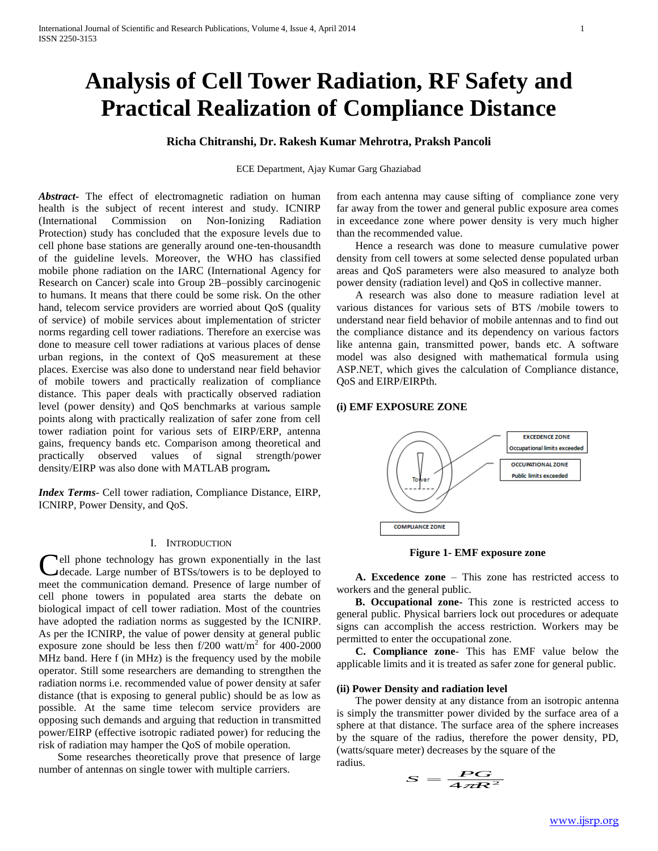# **Analysis of Cell Tower Radiation, RF Safety and Practical Realization of Compliance Distance**

# **Richa Chitranshi, Dr. Rakesh Kumar Mehrotra, Praksh Pancoli**

ECE Department, Ajay Kumar Garg Ghaziabad

*Abstract***-** The effect of electromagnetic radiation on human health is the subject of recent interest and study. ICNIRP (International Commission on Non-Ionizing Radiation Protection) study has concluded that the exposure levels due to cell phone base stations are generally around one-ten-thousandth of the guideline levels. Moreover, the WHO has classified mobile phone radiation on the IARC (International Agency for Research on Cancer) scale into Group 2B–possibly carcinogenic to humans. It means that there could be some risk. On the other hand, telecom service providers are worried about QoS (quality of service) of mobile services about implementation of stricter norms regarding cell tower radiations. Therefore an exercise was done to measure cell tower radiations at various places of dense urban regions, in the context of QoS measurement at these places. Exercise was also done to understand near field behavior of mobile towers and practically realization of compliance distance. This paper deals with practically observed radiation level (power density) and QoS benchmarks at various sample points along with practically realization of safer zone from cell tower radiation point for various sets of EIRP/ERP, antenna gains, frequency bands etc. Comparison among theoretical and practically observed values of signal strength/power density/EIRP was also done with MATLAB program*.*

*Index Terms*- Cell tower radiation, Compliance Distance, EIRP, ICNIRP, Power Density, and QoS.

## I. INTRODUCTION

Cell phone technology has grown exponentially in the last decade. Large number of BTSs/towers is to be deployed to decade. Large number of BTSs/towers is to be deployed to meet the communication demand. Presence of large number of cell phone towers in populated area starts the debate on biological impact of cell tower radiation. Most of the countries have adopted the radiation norms as suggested by the ICNIRP. As per the ICNIRP, the value of power density at general public exposure zone should be less then  $f/200$  watt/m<sup>2</sup> for 400-2000 MHz band. Here f (in MHz) is the frequency used by the mobile operator. Still some researchers are demanding to strengthen the radiation norms i.e. recommended value of power density at safer distance (that is exposing to general public) should be as low as possible. At the same time telecom service providers are opposing such demands and arguing that reduction in transmitted power/EIRP (effective isotropic radiated power) for reducing the risk of radiation may hamper the QoS of mobile operation.

 Some researches theoretically prove that presence of large number of antennas on single tower with multiple carriers.

from each antenna may cause sifting of compliance zone very far away from the tower and general public exposure area comes in exceedance zone where power density is very much higher than the recommended value.

 Hence a research was done to measure cumulative power density from cell towers at some selected dense populated urban areas and QoS parameters were also measured to analyze both power density (radiation level) and QoS in collective manner.

 A research was also done to measure radiation level at various distances for various sets of BTS /mobile towers to understand near field behavior of mobile antennas and to find out the compliance distance and its dependency on various factors like antenna gain, transmitted power, bands etc. A software model was also designed with mathematical formula using ASP.NET, which gives the calculation of Compliance distance, QoS and EIRP/EIRPth.

# **(i) EMF EXPOSURE ZONE**



**Figure 1- EMF exposure zone**

 **A. Excedence zone** – This zone has restricted access to workers and the general public.

 **B. Occupational zone-** This zone is restricted access to general public. Physical barriers lock out procedures or adequate signs can accomplish the access restriction. Workers may be permitted to enter the occupational zone.

 **C. Compliance zone**- This has EMF value below the applicable limits and it is treated as safer zone for general public.

## **(ii) Power Density and radiation level**

 The power density at any distance from an isotropic antenna is simply the transmitter power divided by the surface area of a sphere at that distance. The surface area of the sphere increases by the square of the radius, therefore the power density, PD, (watts/square meter) decreases by the square of the radius.

$$
S = \frac{PG}{4\pi R^2}
$$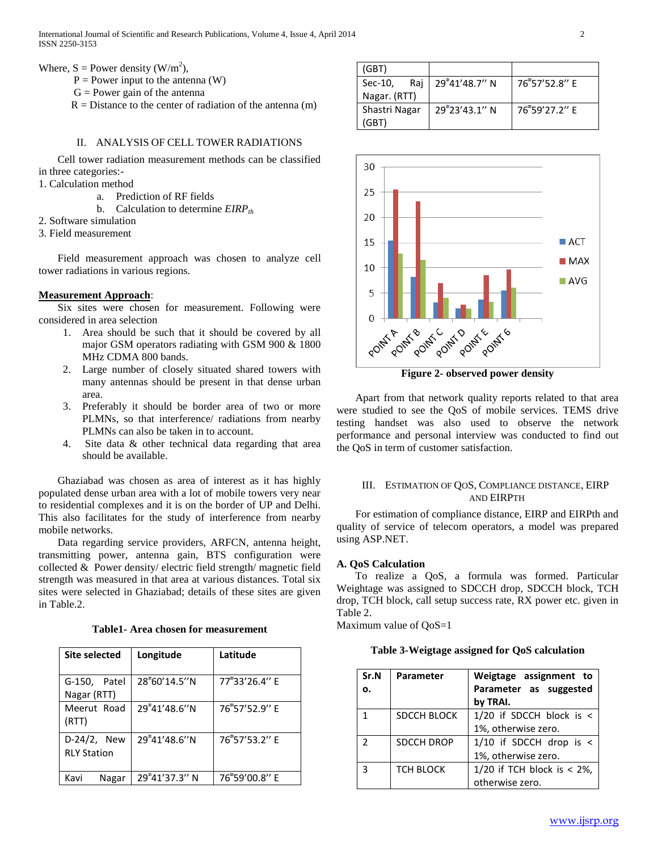- $P = Power input to the antenna (W)$
- $G = Power gain of the antenna$
- $R = Distance$  to the center of radiation of the antenna (m)

# II. ANALYSIS OF CELL TOWER RADIATIONS

 Cell tower radiation measurement methods can be classified in three categories:-

- 1. Calculation method
	- a. Prediction of RF fields
	- b. Calculation to determine *EIRPth*
- 2. Software simulation
- 3. Field measurement

 Field measurement approach was chosen to analyze cell tower radiations in various regions.

## **Measurement Approach**:

 Six sites were chosen for measurement. Following were considered in area selection

- 1. Area should be such that it should be covered by all major GSM operators radiating with GSM 900 & 1800 MHz CDMA 800 bands.
- 2. Large number of closely situated shared towers with many antennas should be present in that dense urban area.
- 3. Preferably it should be border area of two or more PLMNs, so that interference/ radiations from nearby PLMNs can also be taken in to account.
- 4. Site data & other technical data regarding that area should be available.

 Ghaziabad was chosen as area of interest as it has highly populated dense urban area with a lot of mobile towers very near to residential complexes and it is on the border of UP and Delhi. This also facilitates for the study of interference from nearby mobile networks.

 Data regarding service providers, ARFCN, antenna height, transmitting power, antenna gain, BTS configuration were collected & Power density/ electric field strength/ magnetic field strength was measured in that area at various distances. Total six sites were selected in Ghaziabad; details of these sites are given in Table.2.

**Table1- Area chosen for measurement**

| <b>Site selected</b>              | Longitude     | Latitude      |
|-----------------------------------|---------------|---------------|
| G-150, Patel<br>Nagar (RTT)       | 28°60'14.5''N | 77°33'26.4" E |
| Meerut Road<br>(RTT)              | 29°41'48.6"N  | 76°57'52.9" E |
| D-24/2, New<br><b>RLY Station</b> | 29°41'48.6"N  | 76°57'53.2" E |
| Kavi<br>Nagar                     | 29°41'37.3" N | 76°59'00.8" E |

| (GBT)         |     |                  |               |
|---------------|-----|------------------|---------------|
| Sec-10,       | Rai | $29°41'48.7''$ N | 76 57'52.8" F |
| Nagar. (RTT)  |     |                  |               |
| Shastri Nagar |     | 29°23'43.1" N    | 76'59'27.2" F |
| (GBT)         |     |                  |               |



**Figure 2- observed power density**

 Apart from that network quality reports related to that area were studied to see the QoS of mobile services. TEMS drive testing handset was also used to observe the network performance and personal interview was conducted to find out the QoS in term of customer satisfaction.

# III. ESTIMATION OF QOS, COMPLIANCE DISTANCE, EIRP AND EIRPTH

 For estimation of compliance distance, EIRP and EIRPth and quality of service of telecom operators, a model was prepared using ASP.NET.

## **A. QoS Calculation**

 To realize a QoS, a formula was formed. Particular Weightage was assigned to SDCCH drop, SDCCH block, TCH drop, TCH block, call setup success rate, RX power etc. given in Table 2.

Maximum value of QoS=1

**Table 3-Weigtage assigned for QoS calculation**

| Sr.N          | <b>Parameter</b>  | Weigtage assignment to             |  |
|---------------|-------------------|------------------------------------|--|
| ο.            |                   | Parameter as suggested<br>by TRAI. |  |
| 1             | SDCCH BLOCK       | 1/20 if SDCCH block is <           |  |
|               |                   | 1%, otherwise zero.                |  |
| $\mathcal{P}$ | <b>SDCCH DROP</b> | $1/10$ if SDCCH drop is <          |  |
|               |                   | 1%, otherwise zero.                |  |
| 3             | <b>TCH BLOCK</b>  | 1/20 if TCH block is $< 2\%$ ,     |  |
|               |                   | otherwise zero.                    |  |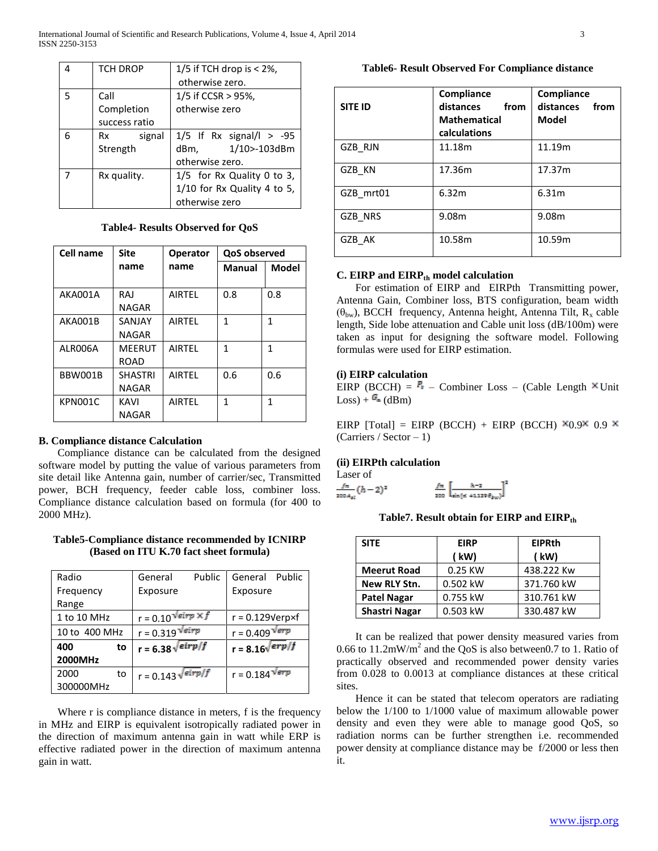|   | <b>TCH DROP</b> | $1/5$ if TCH drop is < 2%,  |  |
|---|-----------------|-----------------------------|--|
|   |                 | otherwise zero.             |  |
| 5 | Call            | $1/5$ if CCSR > 95%,        |  |
|   | Completion      | otherwise zero              |  |
|   | success ratio   |                             |  |
| հ | signal<br>Rx    | $1/5$ If Rx signal/l > -95  |  |
|   | Strength        | 1/10>-103dBm<br>dBm,        |  |
|   |                 | otherwise zero.             |  |
|   | Rx quality.     | 1/5 for Rx Quality 0 to 3,  |  |
|   |                 | 1/10 for Rx Quality 4 to 5, |  |
|   |                 | otherwise zero              |  |

**Table4- Results Observed for QoS**

| Cell name | <b>Site</b>    | <b>QoS observed</b><br><b>Operator</b> |               |              |
|-----------|----------------|----------------------------------------|---------------|--------------|
|           | name           | name                                   | <b>Manual</b> | <b>Model</b> |
|           |                |                                        |               |              |
| AKA001A   | RAJ            | <b>AIRTEL</b>                          | 0.8           | 0.8          |
|           | NAGAR          |                                        |               |              |
| AKA001B   | SANJAY         | <b>AIRTFL</b>                          | 1             | 1            |
|           | NAGAR          |                                        |               |              |
| ALR006A   | <b>MEERUT</b>  | AIRTFL                                 | 1             | 1            |
|           | ROAD           |                                        |               |              |
| BBW001B   | <b>SHASTRI</b> | <b>AIRTEL</b>                          | 0.6           | 0.6          |
|           | <b>NAGAR</b>   |                                        |               |              |
| KPN001C   | KAVI           | <b>AIRTEL</b>                          | 1             | 1            |
|           | <b>NAGAR</b>   |                                        |               |              |

# **B. Compliance distance Calculation**

 Compliance distance can be calculated from the designed software model by putting the value of various parameters from site detail like Antenna gain, number of carrier/sec, Transmitted power, BCH frequency, feeder cable loss, combiner loss. Compliance distance calculation based on formula (for 400 to 2000 MHz).

# **Table5-Compliance distance recommended by ICNIRP (Based on ITU K.70 fact sheet formula)**

| Radio         | Public<br>General                  | General<br>Public      |
|---------------|------------------------------------|------------------------|
| Frequency     | Exposure                           | Exposure               |
| Range         |                                    |                        |
| 1 to 10 MHz   | r = 0.10 $\sqrt{e}$ irp $\times f$ | $r = 0.129V$ erp×f     |
| 10 to 400 MHz | $r = 0.319$ Veirp                  | $r = 0.409 \sqrt{6rp}$ |
| 400<br>to     | r = 6.38 $\sqrt{eirp/f}$           | $r = 8.16\sqrt{erp/f}$ |
| 2000MHz       |                                    |                        |
| 2000<br>to    | r = 0.143 $\sqrt{\text{eirp}}/f$   | $r = 0.184$ Verp       |
| 300000MHz     |                                    |                        |

Where r is compliance distance in meters, f is the frequency in MHz and EIRP is equivalent isotropically radiated power in the direction of maximum antenna gain in watt while ERP is effective radiated power in the direction of maximum antenna gain in watt.

**Table6- Result Observed For Compliance distance**

| <b>SITE ID</b> | Compliance<br>distances<br>from<br><b>Mathematical</b><br>calculations | Compliance<br>distances<br>from<br><b>Model</b> |
|----------------|------------------------------------------------------------------------|-------------------------------------------------|
| GZB RJN        | 11.18m                                                                 | 11.19m                                          |
| GZB KN         | 17.36m                                                                 | 17.37m                                          |
| GZB mrt01      | 6.32m                                                                  | 6.31m                                           |
| GZB NRS        | 9.08m                                                                  | 9.08m                                           |
| GZB AK         | 10.58m                                                                 | 10.59m                                          |

# **C. EIRP and EIRPth model calculation**

 For estimation of EIRP and EIRPth Transmitting power, Antenna Gain, Combiner loss, BTS configuration, beam width ( $\theta_{\text{bw}}$ ), BCCH frequency, Antenna height, Antenna Tilt, R<sub>x</sub> cable length, Side lobe attenuation and Cable unit loss (dB/100m) were taken as input for designing the software model. Following formulas were used for EIRP estimation.

# **(i) EIRP calculation**

EIRP (BCCH) =  $P_+$  – Combiner Loss – (Cable Length  $\times$  Unit  $Loss) + G = (dBm)$ 

EIRP [Total] = EIRP (BCCH) + EIRP (BCCH)  $\times$ 0.9  $\times$ (Carriers / Sector  $-1$ )

# **(ii) EIRPth calculation**

| Laser of                         |                                                            |  |
|----------------------------------|------------------------------------------------------------|--|
|                                  |                                                            |  |
| $\frac{f\pi}{200 A_{2l}}(h-2)^2$ | $\frac{f\pi}{200}\left[\frac{h}{\sin{(\pi t + 1)}}\right]$ |  |

**Table7. Result obtain for EIRP and EIRPth**

| <b>SITE</b>          | <b>EIRP</b> | <b>EIPRth</b> |  |
|----------------------|-------------|---------------|--|
|                      | ( kW)       | (kW)          |  |
| <b>Meerut Road</b>   | 0.25 KW     | 438.222 Kw    |  |
| New RLY Stn.         | 0.502 kW    | 371.760 kW    |  |
| <b>Patel Nagar</b>   | 0.755 kW    | 310.761 kW    |  |
| <b>Shastri Nagar</b> | 0.503 kW    | 330.487 kW    |  |

 It can be realized that power density measured varies from 0.66 to 11.2mW/m<sup>2</sup> and the QoS is also between 0.7 to 1. Ratio of practically observed and recommended power density varies from 0.028 to 0.0013 at compliance distances at these critical sites.

 Hence it can be stated that telecom operators are radiating below the 1/100 to 1/1000 value of maximum allowable power density and even they were able to manage good QoS, so radiation norms can be further strengthen i.e. recommended power density at compliance distance may be f/2000 or less then it.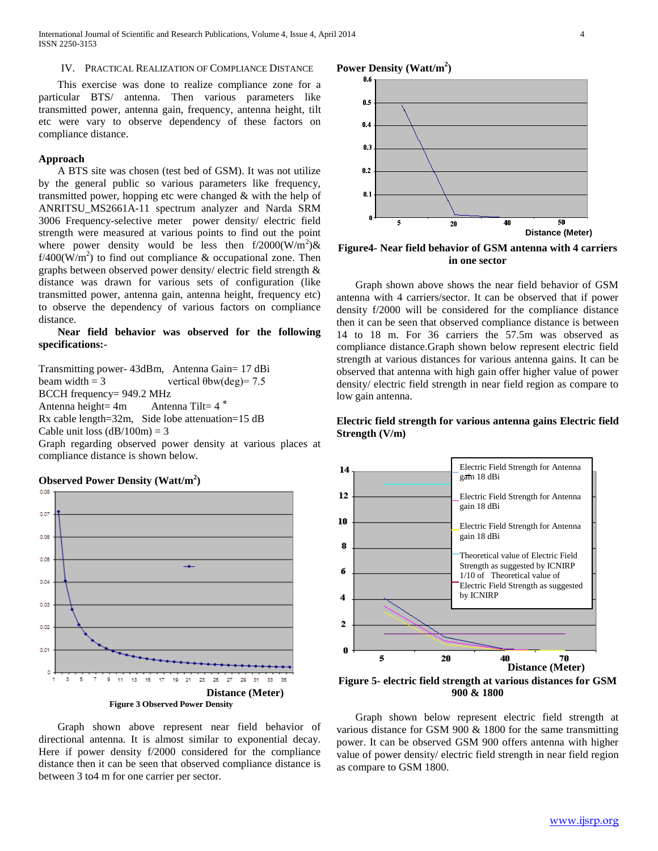International Journal of Scientific and Research Publications, Volume 4, Issue 4, April 2014 4 ISSN 2250-3153

## IV. PRACTICAL REALIZATION OF COMPLIANCE DISTANCE

 This exercise was done to realize compliance zone for a particular BTS/ antenna. Then various parameters like transmitted power, antenna gain, frequency, antenna height, tilt etc were vary to observe dependency of these factors on compliance distance.

# **Approach**

 A BTS site was chosen (test bed of GSM). It was not utilize by the general public so various parameters like frequency, transmitted power, hopping etc were changed & with the help of ANRITSU\_MS2661A-11 spectrum analyzer and Narda SRM 3006 Frequency-selective meter power density/ electric field strength were measured at various points to find out the point where power density would be less then  $f/2000(W/m^2)$ &  $f/400(\text{W/m}^2)$  to find out compliance & occupational zone. Then graphs between observed power density/ electric field strength & distance was drawn for various sets of configuration (like transmitted power, antenna gain, antenna height, frequency etc) to observe the dependency of various factors on compliance distance.

# **Near field behavior was observed for the following specifications:-**

Transmitting power- 43dBm, Antenna Gain= 17 dBi beam width  $= 3$  vertical  $\theta$ bw(deg)= 7.5 BCCH frequency= 949.2 MHz Antenna height=  $4m$  Antenna Tilt=  $4^{\degree}$ Rx cable length=32m, Side lobe attenuation=15 dB Cable unit loss  $(dB/100m) = 3$ Graph regarding observed power density at various places at

compliance distance is shown below.

# **Observed Power Density (Watt/m<sup>2</sup> )** 0.08 0.07 0.05  $0.05$ 0.04 0.03 0.02 0.01  $27$ 29 31 33 13 15 19  $21$ 23 25  $\mathbf{3}$ **Distance (Meter) Figure 3 Observed Power Density**

 Graph shown above represent near field behavior of directional antenna. It is almost similar to exponential decay. Here if power density f/2000 considered for the compliance distance then it can be seen that observed compliance distance is between 3 to4 m for one carrier per sector.

# **Power Density (Watt/m<sup>2</sup> )**



**Figure4- Near field behavior of GSM antenna with 4 carriers in one sector**

 Graph shown above shows the near field behavior of GSM antenna with 4 carriers/sector. It can be observed that if power density f/2000 will be considered for the compliance distance then it can be seen that observed compliance distance is between 14 to 18 m. For 36 carriers the 57.5m was observed as compliance distance.Graph shown below represent electric field strength at various distances for various antenna gains. It can be observed that antenna with high gain offer higher value of power density/ electric field strength in near field region as compare to low gain antenna.

# **Electric field strength for various antenna gains Electric field Strength (V/m)**



**Figure 5- electric field strength at various distances for GSM 900 & 1800**

 Graph shown below represent electric field strength at various distance for GSM 900 & 1800 for the same transmitting power. It can be observed GSM 900 offers antenna with higher value of power density/ electric field strength in near field region as compare to GSM 1800.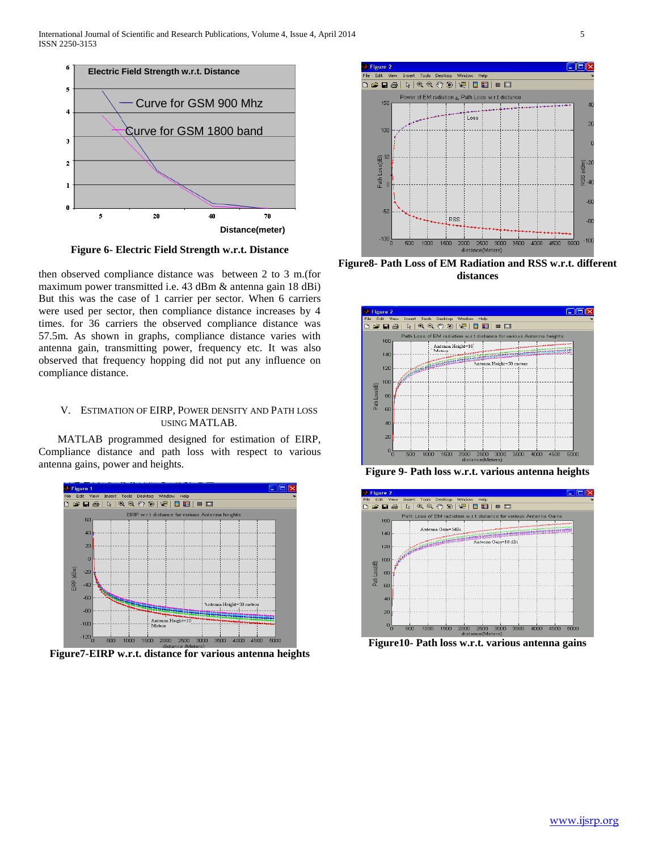

**Figure 6- Electric Field Strength w.r.t. Distance**

then observed compliance distance was between 2 to 3 m.(for maximum power transmitted i.e. 43 dBm & antenna gain 18 dBi) But this was the case of 1 carrier per sector. When 6 carriers were used per sector, then compliance distance increases by 4 times. for 36 carriers the observed compliance distance was 57.5m. As shown in graphs, compliance distance varies with antenna gain, transmitting power, frequency etc. It was also observed that frequency hopping did not put any influence on compliance distance.

# V. ESTIMATION OF EIRP, POWER DENSITY AND PATH LOSS USING MATLAB.

 MATLAB programmed designed for estimation of EIRP, Compliance distance and path loss with respect to various antenna gains, power and heights.



**Figure7-EIRP w.r.t. distance for various antenna heights**



**Figure8- Path Loss of EM Radiation and RSS w.r.t. different distances**



**Figure 9- Path loss w.r.t. various antenna heights**



**Figure10- Path loss w.r.t. various antenna gains**